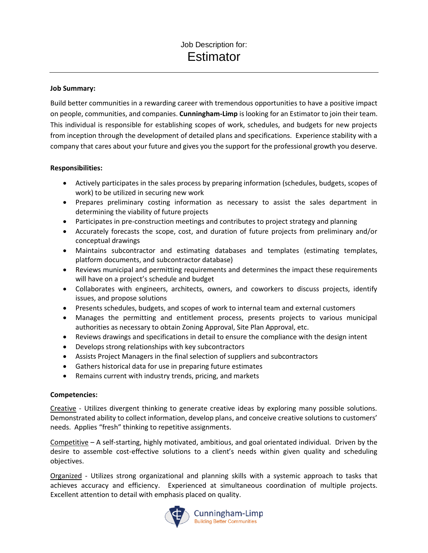## **Job Summary:**

Build better communities in a rewarding career with tremendous opportunities to have a positive impact on people, communities, and companies. **Cunningham-Limp** is looking for an Estimator to join their team. This individual is responsible for establishing scopes of work, schedules, and budgets for new projects from inception through the development of detailed plans and specifications. Experience stability with a company that cares about your future and gives you the support for the professional growth you deserve.

#### **Responsibilities:**

- Actively participates in the sales process by preparing information (schedules, budgets, scopes of work) to be utilized in securing new work
- Prepares preliminary costing information as necessary to assist the sales department in determining the viability of future projects
- Participates in pre-construction meetings and contributes to project strategy and planning
- Accurately forecasts the scope, cost, and duration of future projects from preliminary and/or conceptual drawings
- Maintains subcontractor and estimating databases and templates (estimating templates, platform documents, and subcontractor database)
- Reviews municipal and permitting requirements and determines the impact these requirements will have on a project's schedule and budget
- Collaborates with engineers, architects, owners, and coworkers to discuss projects, identify issues, and propose solutions
- Presents schedules, budgets, and scopes of work to internal team and external customers
- Manages the permitting and entitlement process, presents projects to various municipal authorities as necessary to obtain Zoning Approval, Site Plan Approval, etc.
- Reviews drawings and specifications in detail to ensure the compliance with the design intent
- Develops strong relationships with key subcontractors
- Assists Project Managers in the final selection of suppliers and subcontractors
- Gathers historical data for use in preparing future estimates
- Remains current with industry trends, pricing, and markets

# **Competencies:**

Creative - Utilizes divergent thinking to generate creative ideas by exploring many possible solutions. Demonstrated ability to collect information, develop plans, and conceive creative solutions to customers' needs. Applies "fresh" thinking to repetitive assignments.

Competitive – A self-starting, highly motivated, ambitious, and goal orientated individual. Driven by the desire to assemble cost-effective solutions to a client's needs within given quality and scheduling objectives.

Organized - Utilizes strong organizational and planning skills with a systemic approach to tasks that achieves accuracy and efficiency. Experienced at simultaneous coordination of multiple projects. Excellent attention to detail with emphasis placed on quality.



Cunningham-Limp **Building Better Communities**